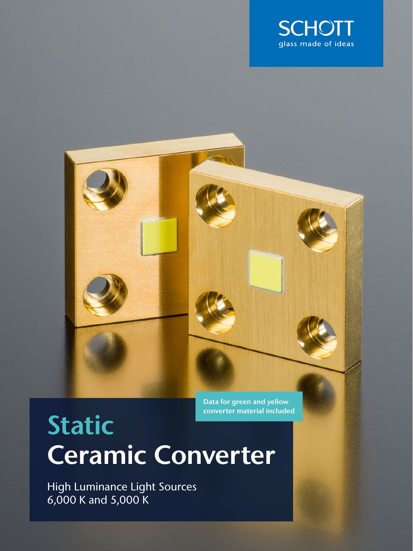



Data for green and yellow converter material included

# Static Ceramic Converter

High Luminance Light Sources 6,000 K and 5,000 K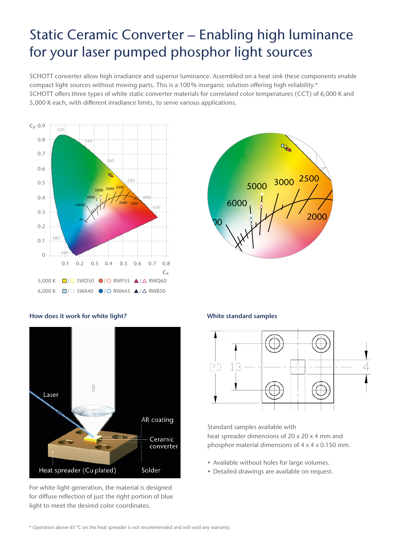## Static Ceramic Converter – Enabling high luminance for your laser pumped phosphor light sources

SCHOTT converter allow high irradiance and superior luminance. Assembled on a heat sink these components enable compact light sources without moving parts. This is a 100% inorganic solution offering high reliability.\* SCHOTT offers three types of white static converter materials for correlated color temperatures (CCT) of 6,000 K and 5,000 K each, with different irradiance limits, to serve various applications.





#### How does it work for white light? White standard samples



For white light generation, the material is designed for diffuse reflection of just the right portion of blue light to meet the desired color coordinates.



Standard samples available with heat spreader dimensions of 20 x 20 x 4 mm and phosphor material dimensions of 4 x 4 x 0.150 mm.

- Available without holes for large volumes.
- Detailed drawings are available on request.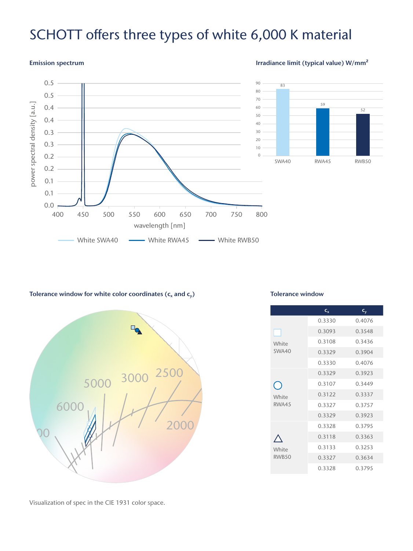### SCHOTT offers three types of white 6,000 K material

#### Emission spectrum

#### Irradiance limit (typical value) W/mm²



#### Tolerance window for white color coordinates ( $c_x$  and  $c_y$ )



#### Tolerance window

|                | $C_{x}$ | $\mathsf{c}_{\mathsf{v}}$ |
|----------------|---------|---------------------------|
|                | 0.3330  | 0.4076                    |
|                | 0.3093  | 0.3548                    |
| White          | 0.3108  | 0.3436                    |
| SWA40          | 0.3329  | 0.3904                    |
|                | 0.3330  | 0.4076                    |
|                | 0.3329  | 0.3923                    |
|                | 0.3107  | 0.3449                    |
| White          | 0.3122  | 0.3337                    |
| RWA45          | 0.3327  | 0.3757                    |
|                | 0.3329  | 0.3923                    |
|                | 0.3328  | 0.3795                    |
| White<br>RWB50 | 0.3118  | 0.3363                    |
|                | 0.3133  | 0.3253                    |
|                | 0.3327  | 0.3634                    |
|                | 0.3328  | 0.3795                    |

Visualization of spec in the CIE 1931 color space.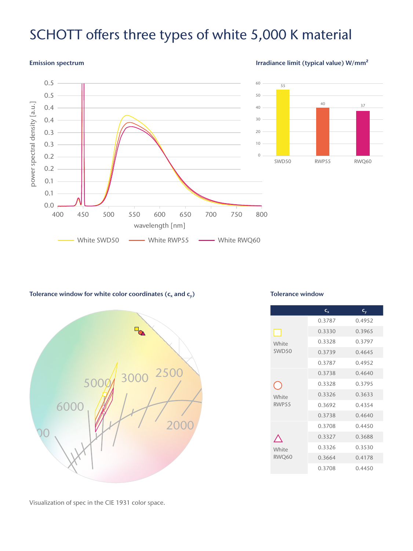### SCHOTT offers three types of white 5,000 K material

#### 0.5 60 55 0.5 50 power spectral density [a.u.] 40 37 power spectral density [a.u.] 0.4 40 0.4 30 0.3 20 0.3 10 0.2  $\Omega$ SWD50 RWP55 RWQ60 0.2 0.1 0.1 0.0 400 450 500 550 600 650 700 750 800 wavelength [nm] White SWD50  $\longrightarrow$  White RWP55  $\longrightarrow$  White RWQ60

### Emission spectrum **Irradiance limit (typical value)** W/mm<sup>2</sup>

#### Tolerance window for white color coordinates ( $c_x$  and  $c_y$ )



#### Tolerance window

|                   | $C_{x}$ | $C_{V}$ |
|-------------------|---------|---------|
| H                 | 0.3787  | 0.4952  |
|                   | 0.3330  | 0.3965  |
| White             | 0.3328  | 0.3797  |
| SWD <sub>50</sub> | 0.3739  | 0.4645  |
|                   | 0.3787  | 0.4952  |
| White             | 0.3738  | 0.4640  |
|                   | 0.3328  | 0.3795  |
|                   | 0.3326  | 0.3633  |
| RWP55             | 0.3692  | 0.4354  |
|                   | 0.3738  | 0.4640  |
| White<br>RWQ60    | 0.3708  | 0.4450  |
|                   | 0.3327  | 0.3688  |
|                   | 0.3326  | 0.3530  |
|                   | 0.3664  | 0.4178  |
|                   | 0.3708  | 0.4450  |

Visualization of spec in the CIE 1931 color space.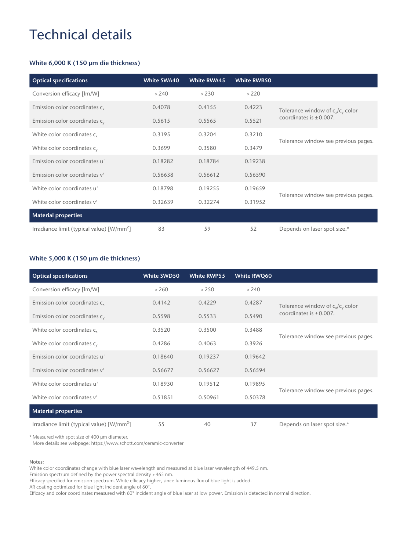## Technical details

#### White 6,000 K (150 µm die thickness)

| <b>Optical specifications</b>                         | <b>White SWA40</b> | <b>White RWA45</b> | <b>White RWB50</b> |                                      |
|-------------------------------------------------------|--------------------|--------------------|--------------------|--------------------------------------|
| Conversion efficacy [lm/W]                            | > 240              | >230               | >220               |                                      |
| Emission color coordinates c <sub>x</sub>             | 0.4078             | 0.4155             | 0.4223             | Tolerance window of $c_x/c_y$ color  |
| Emission color coordinates $c_v$                      | 0.5615             | 0.5565             | 0.5521             | coordinates is $\pm 0.007$ .         |
| White color coordinates c <sub>x</sub>                | 0.3195             | 0.3204             | 0.3210             |                                      |
| White color coordinates $c_y$                         | 0.3699             | 0.3580             | 0.3479             | Tolerance window see previous pages. |
| Emission color coordinates u'                         | 0.18282            | 0.18784            | 0.19238            |                                      |
| Emission color coordinates v'                         | 0.56638            | 0.56612            | 0.56590            |                                      |
| White color coordinates u'                            | 0.18798            | 0.19255            | 0.19659            | Tolerance window see previous pages. |
| White color coordinates y'                            | 0.32639            | 0.32274            | 0.31952            |                                      |
| <b>Material properties</b>                            |                    |                    |                    |                                      |
| Irradiance limit (typical value) [W/mm <sup>2</sup> ] | 83                 | 59                 | 52                 | Depends on laser spot size.*         |

### White 5,000 K (150 µm die thickness)

| <b>Optical specifications</b>               | White SWD50 | <b>White RWP55</b> | White RWQ60 |                                      |
|---------------------------------------------|-------------|--------------------|-------------|--------------------------------------|
| Conversion efficacy [lm/W]                  | > 260       | >250               | > 240       |                                      |
| Emission color coordinates $c_{x}$          | 0.4142      | 0.4229             | 0.4287      | Tolerance window of $c_x/c_y$ color  |
| Emission color coordinates $c_v$            | 0.5598      | 0.5533             | 0.5490      | coordinates is $\pm 0.007$ .         |
| White color coordinates c <sub>x</sub>      | 0.3520      | 0.3500             | 0.3488      |                                      |
| White color coordinates $c_v$               | 0.4286      | 0.4063             | 0.3926      | Tolerance window see previous pages. |
| Emission color coordinates u'               | 0.18640     | 0.19237            | 0.19642     |                                      |
| Emission color coordinates y'               | 0.56677     | 0.56627            | 0.56594     |                                      |
| White color coordinates u'                  | 0.18930     | 0.19512            | 0.19895     | Tolerance window see previous pages. |
| White color coordinates y'                  | 0.51851     | 0.50961            | 0.50378     |                                      |
| <b>Material properties</b>                  |             |                    |             |                                      |
| Irradiance limit (typical value) $[W/mm^2]$ | 55          | 40                 | 37          | Depends on laser spot size.*         |

\* Measured with spot size of 400 μm diameter.

More details see webpage: https://www.schott.com/ceramic-converter

#### Notes:

White color coordinates change with blue laser wavelength and measured at blue laser wavelength of 449.5 nm.

Emission spectrum defined by the power spectral density >465 nm.

Efficacy specified for emission spectrum. White efficacy higher, since luminous flux of blue light is added.

AR coating optimized for blue light incident angle of 60°.

Efficacy and color coordinates measured with 60° incident angle of blue laser at low power. Emission is detected in normal direction.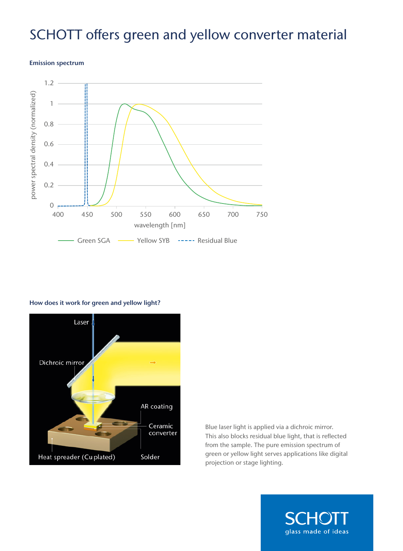## SCHOTT offers green and yellow converter material

#### Emission spectrum



#### How does it work for green and yellow light?



Blue laser light is applied via a dichroic mirror. This also blocks residual blue light, that is reflected from the sample. The pure emission spectrum of green or yellow light serves applications like digital projection or stage lighting.

glass made of ideas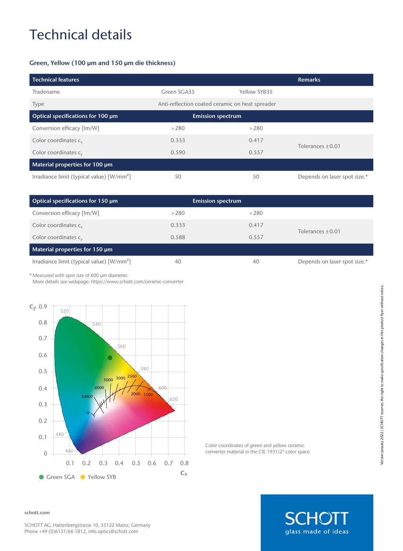# Technical details

#### Green, Yellow (100 μm and 150 μm die thickness)

| <b>Technical features</b>                             |                                                 |                          | <b>Remarks</b>               |
|-------------------------------------------------------|-------------------------------------------------|--------------------------|------------------------------|
| Tradename                                             | Green SGA35                                     | Yellow SYB35             |                              |
| <b>Type</b>                                           | Anti-reflection coated ceramic on heat spreader |                          |                              |
| Optical specifications for 100 µm                     |                                                 | <b>Emission spectrum</b> |                              |
| Conversion efficacy [lm/W]                            | >280                                            | >280                     |                              |
| Color coordinates c <sub>v</sub>                      | 0.333                                           | 0.417                    | Tolerances $\pm 0.01$        |
| Color coordinates $c_v$                               | 0.590                                           | 0.557                    |                              |
| Material properties for 100 um                        |                                                 |                          |                              |
| Irradiance limit (typical value) [W/mm <sup>2</sup> ] | 50                                              | 50                       | Depends on laser spot size.* |

| Optical specifications for 150 um                            | <b>Emission spectrum</b> |       |                              |
|--------------------------------------------------------------|--------------------------|-------|------------------------------|
| Conversion efficacy [lm/W]                                   | >280                     | >280  |                              |
| Color coordinates c <sub>v</sub>                             | 0.333                    | 0.417 | Tolerances $\pm$ 0.01        |
| Color coordinates $c_v$                                      | 0.588                    | 0.557 |                              |
| Material properties for 150 um                               |                          |       |                              |
| Irradiance limit (typical value) $\left[\frac{W}{m} \right]$ | 40                       | 40    | Depends on laser spot size.* |

\* Measured with spot size of 600 μm diameter.

More details see webpage: https://www.schott.com/ceramic-converter



Color coordinates of green and yellow ceramic converter material in the CIE 1931/2° color space

**SCHOTT** glass made of ideas

#### schott.com